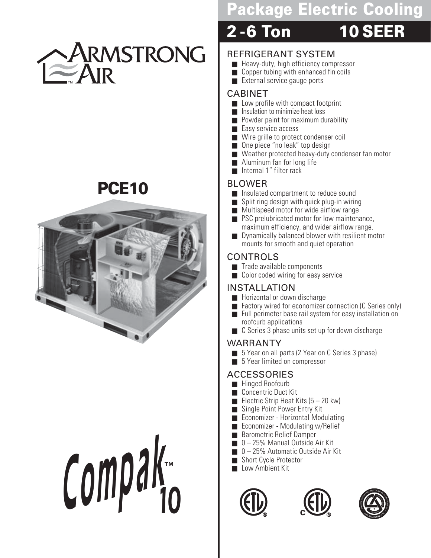

# **PCE10**



# **Compa<sup>k</sup> 10 ™**

# **Package Electric Cooling**

# **2 -6 Ton 10 SEER**

#### REFRIGERANT SYSTEM

- Heavy-duty, high efficiency compressor
- Copper tubing with enhanced fin coils
- External service gauge ports

#### CABINET

- Low profile with compact footprint
- Insulation to minimize heat loss
- Powder paint for maximum durability
- Easy service access
- Wire grille to protect condenser coil
- One piece "no leak" top design
- Weather protected heavy-duty condenser fan motor
- Aluminum fan for long life
- Internal 1" filter rack

#### BLOWER

- Insulated compartment to reduce sound
- Split ring design with quick plug-in wiring
- Multispeed motor for wide airflow range
- PSC prelubricated motor for low maintenance, maximum efficiency, and wider airflow range.
- Dynamically balanced blower with resilient motor mounts for smooth and quiet operation

#### CONTROLS

- Trade available components
- Color coded wiring for easy service

#### INSTALLATION

- Horizontal or down discharge
- Factory wired for economizer connection (C Series only)
- Full perimeter base rail system for easy installation on roofcurb applications
- C Series 3 phase units set up for down discharge

#### WARRANTY

- 5 Year on all parts (2 Year on C Series 3 phase)
- 5 Year limited on compressor

# ACCESSORIES

- Hinged Roofcurb
- Concentric Duct Kit
- Electric Strip Heat Kits  $(5 20 \text{ kw})$
- Single Point Power Entry Kit
- **Economizer Horizontal Modulating** ■ Economizer - Modulating w/Relief
- Barometric Relief Damper
- 0 25% Manual Outside Air Kit
- 0 25% Automatic Outside Air Kit
- Short Cycle Protector
- Low Ambient Kit





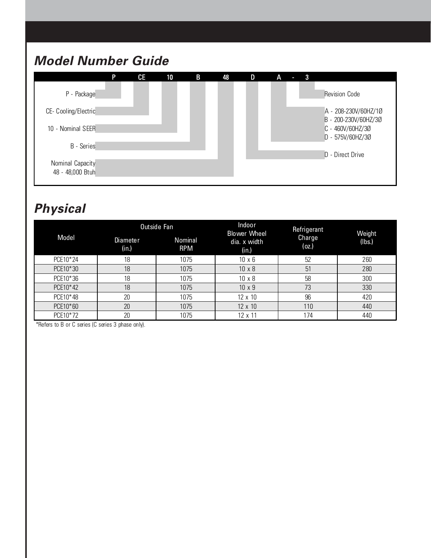# **Model Number Guide**



# **Physical**

|          |                          | Outside Fan           | Indoor<br><b>Blower Wheel</b> | Refrigerant     | Weight |  |
|----------|--------------------------|-----------------------|-------------------------------|-----------------|--------|--|
| Model    | <b>Diameter</b><br>(in.) | Nominal<br><b>RPM</b> | dia. x width<br>(in.)         | Charge<br>(oz.) | (lbs.) |  |
| PCE10*24 | 18                       | 1075                  | $10 \times 6$                 | 52              | 260    |  |
| PCE10*30 | 18                       | 1075                  | $10 \times 8$                 | 51              | 280    |  |
| PCE10*36 | 18                       | 1075                  | $10 \times 8$                 | 58              | 300    |  |
| PCE10*42 | 18                       | 1075                  | $10 \times 9$                 | 73              | 330    |  |
| PCE10*48 | 20                       | 1075                  | 12 x 10                       | 96              | 420    |  |
| PCE10*60 | 20                       | 1075                  | 12 x 10                       | 110             | 440    |  |
| PCE10*72 | 20                       | 1075                  | 12 x 11                       | 174             | 440    |  |

\*Refers to B or C series (C series 3 phase only).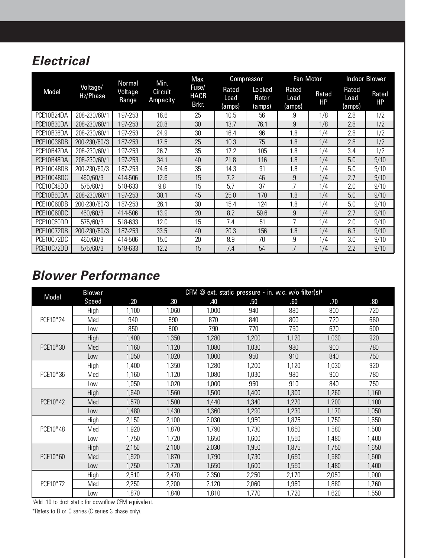# **Electrical**

|            |                      | Normal           | Min.                | Max.                          |                          | <b>Compressor</b>          | Fan Motor               |                    | <b>Indoor Blower</b>    |                    |
|------------|----------------------|------------------|---------------------|-------------------------------|--------------------------|----------------------------|-------------------------|--------------------|-------------------------|--------------------|
| Model      | Voltage/<br>Hz/Phase | Voltage<br>Range | Circuit<br>Ampacity | Fuse/<br><b>HACR</b><br>Brkr. | Rated<br>Load<br>(a mps) | Locked<br>Rotor<br>(a mps) | Rated<br>Load<br>(amps) | Rated<br><b>HP</b> | Rated<br>Load<br>(amps) | Rated<br><b>HP</b> |
| PCE10B24DA | 208-230/60/1         | 197-253          | 16.6                | 25                            | 10.5                     | 56                         | .9                      | 1/8                | 2.8                     | 1/2                |
| PCE10B30DA | 208-230/60/1         | 197-253          | 20.8                | 30                            | 13.7                     | 76.1                       | $\overline{9}$          | 1/8                | 2.8                     | 1/2                |
| PCE10B36DA | 208-230/60/1         | 197-253          | 24.9                | 30                            | 16.4                     | 96                         | 1.8                     | 1/4                | 2.8                     | 1/2                |
| PCE10C36DB | 200-230/60/3         | 187-253          | 17.5                | 25                            | 10.3                     | 75                         | 1.8                     | 1/4                | 2.8                     | 1/2                |
| PCE10B42DA | 208-230/60/1         | 197-253          | 26.7                | 35                            | 17.2                     | 105                        | 1.8                     | 1/4                | 3.4                     | 1/2                |
| PCE10B48DA | 208-230/60/1         | 197-253          | 34.1                | 40                            | 21.8                     | 116                        | 1.8                     | 1/4                | 5.0                     | 9/10               |
| PCE10C48DB | 200-230/60/3         | 187-253          | 24.6                | 35                            | 14.3                     | 91                         | 1.8                     | 1/4                | 5.0                     | 9/10               |
| PCE10C48DC | 460/60/3             | 414-506          | 12.6                | 15                            | 7.2                      | 46                         | .9                      | 1/4                | 2.7                     | 9/10               |
| PCE10C48DD | 575/60/3             | 518-633          | 9.8                 | 15                            | 5.7                      | 37                         | .7                      | 1/4                | 2.0                     | 9/10               |
| PCE10B60DA | 208-230/60/1         | 197-253          | 38.1                | 45                            | 25.0                     | 170                        | 1.8                     | 1/4                | 5.0                     | 9/10               |
| PCE10C60DB | 200-230/60/3         | 187-253          | 26.1                | 30                            | 15.4                     | 124                        | 1.8                     | 1/4                | 5.0                     | 9/10               |
| PCE10C60DC | 460/60/3             | 414-506          | 13.9                | 20                            | 8.2                      | 59.6                       | 9                       | 1/4                | 2.7                     | 9/10               |
| PCE10C60DD | 575/60/3             | 518-633          | 12.0                | 15                            | 7.4                      | 51                         | .7                      | 1/4                | 2.0                     | 9/10               |
| PCE10C72DB | 200-230/60/3         | 187-253          | 33.5                | 40                            | 20.3                     | 156                        | 1.8                     | 1/4                | 6.3                     | 9/10               |
| PCE10C72DC | 460/60/3             | 414-506          | 15.0                | 20                            | 8.9                      | 70                         | .9                      | 1/4                | 3.0                     | 9/10               |
| PCE10C72DD | 575/60/3             | 518-633          | 12.2                | 15                            | 7.4                      | 54                         | .7                      | 1/4                | 2.2                     | 9/10               |

#### **Blower Performance**

|          | <b>Blower</b> |       | CFM @ ext. static pressure - in. w.c. w/o filter(s) <sup>1</sup> |       |       |       |       |       |  |  |  |
|----------|---------------|-------|------------------------------------------------------------------|-------|-------|-------|-------|-------|--|--|--|
| Model    | Speed         | .20   | .30                                                              | .40   | .50   | .60   | .70   | .80   |  |  |  |
|          | High          | 1,100 | 1,060                                                            | 1,000 | 940   | 880   | 800   | 720   |  |  |  |
| PCE10*24 | Med           | 940   | 890                                                              | 870   | 840   | 800   | 720   | 660   |  |  |  |
|          | Low           | 850   | 800                                                              | 790   | 770   | 750   | 670   | 600   |  |  |  |
|          | High          | 1,400 | 1,350                                                            | 1,280 | 1,200 | 1,120 | 1,030 | 920   |  |  |  |
| PCE10*30 | Med           | 1,160 | 1,120                                                            | 1,080 | 1,030 | 980   | 900   | 780   |  |  |  |
|          | Low           | 1,050 | 1,020                                                            | 1,000 | 950   | 910   | 840   | 750   |  |  |  |
|          | High          | 1,400 | 1,350                                                            | 1,280 | 1,200 | 1,120 | 1,030 | 920   |  |  |  |
| PCE10*36 | Med           | 1,160 | 1,120                                                            | 1,080 | 1,030 | 980   | 900   | 780   |  |  |  |
|          | Low           | 1,050 | 1,020                                                            | 1,000 | 950   | 910   | 840   | 750   |  |  |  |
|          | High          | 1,640 | 1,560                                                            | 1,500 | 1,400 | 1,300 | 1,260 | 1,160 |  |  |  |
| PCE10*42 | Med           | 1,570 | 1,500                                                            | 1,440 | 1,340 | 1,270 | 1,200 | 1,100 |  |  |  |
|          | Low           | 1,480 | 1,430                                                            | 1,360 | 1,290 | 1,230 | 1,170 | 1,050 |  |  |  |
|          | High          | 2,150 | 2,100                                                            | 2,030 | 1,950 | 1,875 | 1,750 | 1,650 |  |  |  |
| PCE10*48 | Med           | 1,920 | 1,870                                                            | 1,790 | 1,730 | 1,650 | 1,580 | 1,500 |  |  |  |
|          | Low           | 1,750 | 1,720                                                            | 1,650 | 1,600 | 1,550 | 1,480 | 1,400 |  |  |  |
|          | High          | 2,150 | 2,100                                                            | 2,030 | 1,950 | 1,875 | 1,750 | 1,650 |  |  |  |
| PCE10*60 | Med           | 1,920 | 1,870                                                            | 1,790 | 1,730 | 1,650 | 1,580 | 1,500 |  |  |  |
|          | Low           | 1,750 | 1,720                                                            | 1,650 | 1,600 | 1,550 | 1,480 | 1,400 |  |  |  |
|          | High          | 2,510 | 2,470                                                            | 2,350 | 2,250 | 2,170 | 2,050 | 1,900 |  |  |  |
| PCE10*72 | Med           | 2,250 | 2,200                                                            | 2,120 | 2,060 | 1,960 | 1,880 | 1,760 |  |  |  |
|          | Low           | 1,870 | 1,840                                                            | 1,810 | 1,770 | 1,720 | 1,620 | 1,550 |  |  |  |

1Add .10 to duct static for downflow CFM equivalent. \*Refers to B or C series (C series 3 phase only).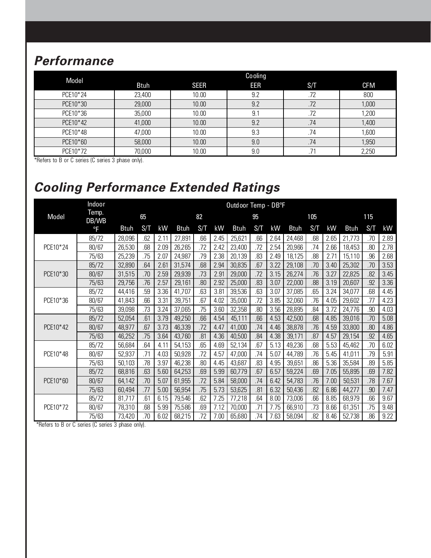# **Performance**

| Model    |             |             | Cooling |     |            |
|----------|-------------|-------------|---------|-----|------------|
|          | <b>Btuh</b> | <b>SEER</b> | EER     | S/T | <b>CFM</b> |
| PCE10*24 | 23,400      | 10.00       | 9.2     | .72 | 800        |
| PCE10*30 | 29,000      | 10.00       | 9.2     | .72 | 1,000      |
| PCE10*36 | 35,000      | 10.00       | 9.1     | .72 | 1,200      |
| PCE10*42 | 41,000      | 10.00       | 9.2     | .74 | 1,400      |
| PCE10*48 | 47,000      | 10.00       | 9.3     | .74 | 1,600      |
| PCE10*60 | 58,000      | 10.00       | 9.0     | .74 | 1,950      |
| PCE10*72 | 70,000      | 10.00       | 9.0     |     | 2,250      |

\*Refers to B or C series (C series 3 phase only).

# **Cooling Performance Extended Ratings**

|          | Indoor         |             | Outdoor Temp - DB°F |      |             |     |      |             |     |      |             |     |      |             |     |      |
|----------|----------------|-------------|---------------------|------|-------------|-----|------|-------------|-----|------|-------------|-----|------|-------------|-----|------|
| Model    | Temp.<br>DB/WB |             | 65                  |      |             | 82  |      |             | 95  |      |             | 105 |      |             | 115 |      |
|          | $^{\circ}$ F   | <b>Btuh</b> | S/T                 | kW   | <b>Btuh</b> | S/T | kW   | <b>Btuh</b> | S/T | kW   | <b>Btuh</b> | S/T | kW   | <b>Btuh</b> | S/T | kW   |
|          | 85/72          | 28,096      | 62                  | 2.11 | 27,891      | .66 | 2.45 | 25,621      | .66 | 2.64 | 24,468      | .68 | 2.65 | 21,773      | .70 | 2.89 |
| PCE10*24 | 80/67          | 26,530      | .68                 | 2.09 | 26,265      | .72 | 2.42 | 23,400      | .72 | 2.54 | 20,966      | .74 | 2.66 | 18,453      | .80 | 2.78 |
|          | 75/63          | 25,239      | .75                 | 2.07 | 24,987      | .79 | 2.38 | 20,139      | .83 | 2.49 | 18,125      | .88 | 2.71 | 15,110      | .96 | 2.68 |
|          | 85/72          | 32,890      | .64                 | 2.61 | 31,574      | .68 | 2.94 | 30,835      | .67 | 3.22 | 29,108      | .70 | 3.40 | 25,302      | .70 | 3.53 |
| PCE10*30 | 80/67          | 31,515      | .70                 | 2.59 | 29,939      | .73 | 2.91 | 29,000      | .72 | 3.15 | 26,274      | .76 | 3.27 | 22,825      | .82 | 3.45 |
|          | 75/63          | 29,756      | .76                 | 2.57 | 29,161      | .80 | 2.92 | 25,000      | .83 | 3.07 | 22,000      | .88 | 3.19 | 20,607      | .92 | 3.36 |
|          | 85/72          | 44,416      | 59                  | 3.36 | 41,707      | .63 | 3.81 | 39,536      | .63 | 3.07 | 37,085      | .65 | 3.24 | 34,077      | .68 | 4.45 |
| PCE10*36 | 80/67          | 41,843      | .66                 | 3.31 | 39,751      | .67 | 4.02 | 35,000      | .72 | 3.85 | 32,060      | .76 | 4.05 | 29,602      | .77 | 4.23 |
|          | 75/63          | 39,098      | .73                 | 3.24 | 37,065      | .75 | 3.60 | 32,358      | .80 | 3.56 | 28,895      | .84 | 3.72 | 24,776      | .90 | 4.03 |
|          | 85/72          | 52,054      | .61                 | 3.79 | 49,250      | .66 | 4.54 | 45,111      | .66 | 4.53 | 42,500      | .68 | 4.85 | 39,016      | .70 | 5.08 |
| PCE10*42 | 80/67          | 48,977      | .67                 | 3.73 | 46,339      | .72 | 4.47 | 41,000      | .74 | 4.46 | 38,878      | .76 | 4.59 | 33,800      | .80 | 4.86 |
|          | 75/63          | 46,252      | .75                 | 3.64 | 43,760      | .81 | 4.36 | 40,500      | .84 | 4.38 | 39,171      | .87 | 4.57 | 29,154      | .92 | 4.65 |
|          | 85/72          | 56,684      | .64                 | 4.11 | 54,153      | .65 | 4.69 | 52,134      | .67 | 5.13 | 49,236      | .68 | 5.53 | 45,462      | .70 | 6.02 |
| PCE10*48 | 80/67          | 52,937      | .71                 | 4.03 | 50,928      | .72 | 4.57 | 47,000      | .74 | 5.07 | 44,789      | .76 | 5.45 | 41,011      | .79 | 5.91 |
|          | 75/63          | 50,103      | .78                 | 3.97 | 46,238      | .80 | 4.45 | 43,687      | .83 | 4.95 | 39,651      | .86 | 5.36 | 35,584      | .89 | 5.85 |
|          | 85/72          | 68,816      | .63                 | 5.60 | 64,253      | .69 | 5.99 | 60,779      | .67 | 6.57 | 59,224      | .69 | 7.05 | 55,895      | .69 | 7.82 |
| PCE10*60 | 80/67          | 64,142      | .70                 | 5.07 | 61,955      | .72 | 5.84 | 58,000      | .74 | 6.42 | 54,783      | .76 | 7.00 | 50,531      | .78 | 7.67 |
|          | 75/63          | 60,494      | .77                 | 5.00 | 56,954      | .75 | 5.73 | 53,625      | .81 | 6.32 | 50,436      | .82 | 6.86 | 44,277      | .90 | 7.47 |
| PCE10*72 | 85/72          | 81,717      | .61                 | 6.15 | 79,546      | .62 | 7.25 | 77,218      | .64 | 8.00 | 73,006      | .66 | 8.85 | 68,979      | .66 | 9.67 |
|          | 80/67          | 78,310      | .68                 | 5.99 | 75,586      | .69 | 7.12 | 70,000      | .71 | 7.75 | 66,910      | .73 | 8.66 | 61,351      | .75 | 9.48 |
|          | 75/63          | 73,420      | .70                 | 6.02 | 68,215      | .72 | 7.00 | 65,680      | .74 | 7.63 | 58,094      | .82 | 8.46 | 52,738      | .86 | 9.22 |

\*Refers to B or C series (C series 3 phase only).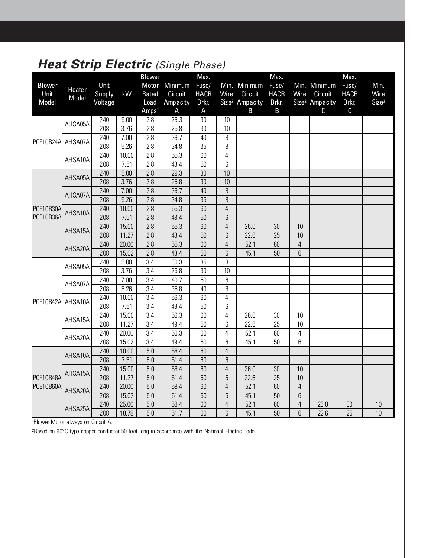# **Heat Strip Electric (Single Phase)**

|                  |               |         |       | <b>Blower</b>     |                   | Max.        |                |                            | Max.        |                |                            | Max.                 |                   |
|------------------|---------------|---------|-------|-------------------|-------------------|-------------|----------------|----------------------------|-------------|----------------|----------------------------|----------------------|-------------------|
| <b>Blower</b>    | <b>Heater</b> | Unit    |       | Motor             | Minimum           | Fuse/       |                | Min. Minimum               | Fuse/       |                | Min. Minimum               | Fuse/                | Min.              |
| Unit             | Model         | Supply  | kW    | Rated             | Circuit           | <b>HACR</b> | Wire           | Circuit                    | <b>HACR</b> | Wire           | Circuit                    | <b>HACR</b>          | Wire              |
| Model            |               | Voltage |       | Load              | Ampacity          | Brkr.       |                | Size <sup>2</sup> Ampacity | Brkr.       |                | Size <sup>2</sup> Ampacity | Brkr.                | Size <sup>2</sup> |
|                  |               |         |       | Amps <sup>1</sup> | A                 | A           |                | $\mathsf B$                | $\mathsf B$ |                | С                          | C                    |                   |
|                  | AHSA05A       | 240     | 5.00  | 2.8               | 29.3              | 30          | 10             |                            |             |                |                            |                      |                   |
|                  |               | 208     | 3.76  | 2.8               | 25.8              | 30          | 10             |                            |             |                |                            |                      |                   |
| <b>PCE10B24A</b> | AHSA07A       | 240     | 7.00  | 2.8               | 39.7              | 40          | 8              |                            |             |                |                            |                      |                   |
|                  |               | 208     | 5.26  | 2.8               | 34.8              | 35          | 8              |                            |             |                |                            |                      |                   |
|                  | AHSA10A       | 240     | 10.00 | 2.8               | $\overline{55.3}$ | 60          | $\sqrt{4}$     |                            |             |                |                            |                      |                   |
|                  |               | 208     | 7.51  | 2.8               | 48.4              | 50          | 6              |                            |             |                |                            |                      |                   |
|                  | AHSA05A       | 240     | 5.00  | 2.8               | 29.3              | 30          | 10             |                            |             |                |                            |                      |                   |
|                  |               | 208     | 3.76  | 2.8               | 25.8              | 30          | 10             |                            |             |                |                            |                      |                   |
|                  | AHSA07A       | 240     | 7.00  | 2.8               | 39.7              | 40          | 8              |                            |             |                |                            |                      |                   |
|                  |               | 208     | 5.26  | 2.8               | 34.8              | 35          | 8              |                            |             |                |                            |                      |                   |
| <b>PCE10B30A</b> | AHSA10A       | 240     | 10.00 | 2.8               | 55.3              | 60          | $\overline{4}$ |                            |             |                |                            |                      |                   |
| PCE10B36A        |               | 208     | 7.51  | 2.8               | 48.4              | 50          | 6              |                            |             |                |                            |                      |                   |
|                  | AHSA15A       | 240     | 15.00 | 2.8               | 55.3              | 60          | $\overline{4}$ | 26.0                       | 30          | 10             |                            |                      |                   |
|                  |               | 208     | 11.27 | 2.8               | 48.4              | 50          | 6              | 22.6                       | 25          | 10             |                            |                      |                   |
|                  |               | 240     | 20.00 | 2.8               | 55.3              | 60          | $\overline{4}$ | 52.1                       | 60          | $\overline{4}$ |                            |                      |                   |
|                  | AHSA20A       | 208     | 15.02 | 2.8               | 48.4              | 50          | 6              | 45.1                       | 50          | $6\phantom{1}$ |                            |                      |                   |
|                  | AHSA05A       | 240     | 5.00  | 3.4               | 30.3              | 35          | 8              |                            |             |                |                            |                      |                   |
|                  |               | 208     | 3.76  | 3.4               | 26.8              | 30          | 10             |                            |             |                |                            |                      |                   |
|                  | AHSA07A       | 240     | 7.00  | 3.4               | 40.7              | 50          | 6              |                            |             |                |                            |                      |                   |
|                  |               | 208     | 5.26  | 3.4               | 35.8              | 40          | 8              |                            |             |                |                            |                      |                   |
| PCE10B42A        | AHSA10A       | 240     | 10.00 | $\overline{3.4}$  | 56.3              | 60          | $\overline{4}$ |                            |             |                |                            |                      |                   |
|                  |               | 208     | 7.51  | 3.4               | 49.4              | 50          | 6              |                            |             |                |                            |                      |                   |
|                  | AHSA15A       | 240     | 15.00 | $\overline{3.4}$  | 56.3              | 60          | $\overline{4}$ | 26.0                       | 30          | 10             |                            |                      |                   |
|                  |               | 208     | 11.27 | $\overline{3.4}$  | 49.4              | 50          | 6              | 22.6                       | 25          | 10             |                            |                      |                   |
|                  | AHSA20A       | 240     | 20.00 | 3.4               | 56.3              | 60          | $\overline{4}$ | 52.1                       | 60          | $\overline{4}$ |                            |                      |                   |
|                  |               | 208     | 15.02 | $\overline{3.4}$  | 49.4              | 50          | 6              | 45.1                       | 50          | 6              |                            |                      |                   |
|                  | AHSA10A       | 240     | 10.00 | $\overline{5.0}$  | 58.4              | 60          | $\overline{4}$ |                            |             |                |                            |                      |                   |
|                  |               | 208     | 7.51  | 5.0               | 51.4              | 60          | 6              |                            |             |                |                            | 30<br>10<br>10<br>25 |                   |
|                  | AHSA15A       | 240     | 15.00 | 5.0               | 58.4              | 60          | $\overline{4}$ | 26.0                       | 30          | 10             |                            |                      |                   |
| <b>PCE10B48A</b> |               | 208     | 11.27 | 5.0               | 51.4              | 60          | 6              | 22.6                       | 25          | 10             |                            |                      |                   |
| <b>PCE10B60A</b> |               | 240     | 20.00 | 5.0               | 58.4              | 60          | $\overline{4}$ | 52.1                       | 60          | $\overline{4}$ |                            |                      |                   |
|                  | AHSA20A       | 208     | 15.02 | 5.0               | 51.4              | 60          | 6              | 45.1                       | 50          | $6\,$          |                            |                      |                   |
|                  |               | 240     | 25.00 | 5.0               | 58.4              | 60          | $\overline{4}$ | 52.1                       | 60          | $\overline{4}$ | 26.0                       |                      |                   |
|                  | AHSA25A       | 208     | 18.78 | 5.0               | 51.7              | 60          | 6              | 45.1                       | 50          | 6              | 22.6                       |                      |                   |

1Blower Motor always on Circuit A.

²Based on 60°C type copper conductor 50 feet long in accordance with the National Electric Code.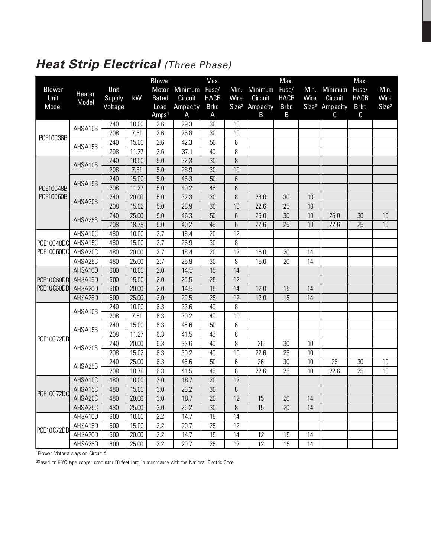# **Heat Strip Electrical (Three Phase)**

|                                                                                                                                          |               |         |       | <b>Blower</b>     |          | Max.        |                   |          | Max.        |                   |          | Max.        |                   |
|------------------------------------------------------------------------------------------------------------------------------------------|---------------|---------|-------|-------------------|----------|-------------|-------------------|----------|-------------|-------------------|----------|-------------|-------------------|
| <b>Blower</b>                                                                                                                            | <b>Heater</b> | Unit    |       | Motor             | Minimum  | Fuse/       | Min.              | Minimum  | Fuse/       | Min.              | Minimum  | Fuse/       | Min.              |
|                                                                                                                                          | Model         | Supply  | kW    | Rated             | Circuit  | <b>HACR</b> | Wire              | Circuit  | <b>HACR</b> | Wire              | Circuit  | <b>HACR</b> | Wire              |
|                                                                                                                                          |               | Voltage |       | Load              | Ampacity | Brkr.       | Size <sup>2</sup> | Ampacity | Brkr.       | Size <sup>2</sup> | Ampacity | Brkr.       | Size <sup>2</sup> |
|                                                                                                                                          |               |         |       | Amps <sup>1</sup> | Α        | A           |                   | B        | B           |                   | C        | С           |                   |
|                                                                                                                                          | AHSA10B       | 240     | 10.00 | 2.6               | 29.3     | 30          | 10                |          |             |                   |          |             |                   |
|                                                                                                                                          |               | 208     | 7.51  | 2.6               | 25.8     | 30          | 10                |          |             |                   |          |             |                   |
|                                                                                                                                          | AHSA15B       | 240     | 15.00 | 2.6               | 42.3     | 50          | 6                 |          |             |                   |          |             |                   |
| Unit<br>Model<br>PCE10C36B<br>PCE10C48B<br>PCE10C60B<br>PCE10C48DC<br>PCE10C60DC<br>PCE10C60DD<br>PCE10C60DD<br>PCE10C72DB<br>PCE10C72DC |               | 208     | 11.27 | 2.6               | 37.1     | 40          | 8                 |          |             |                   |          |             |                   |
|                                                                                                                                          | AHSA10B       | 240     | 10.00 | 5.0               | 32.3     | 30          | 8                 |          |             |                   |          |             |                   |
|                                                                                                                                          |               | 208     | 7.51  | 5.0               | 28.9     | 30          | 10                |          |             |                   |          |             |                   |
|                                                                                                                                          | AHSA15B       | 240     | 15.00 | 5.0               | 45.3     | 50          | 6                 |          |             |                   |          |             |                   |
|                                                                                                                                          |               | 208     | 11.27 | 5.0               | 40.2     | 45          | 6                 |          |             |                   |          |             |                   |
|                                                                                                                                          | AHSA20B       | 240     | 20.00 | 5.0               | 32.3     | 30          | 8                 | 26.0     | 30          | 10                |          |             |                   |
|                                                                                                                                          |               | 208     | 15.02 | 5.0               | 28.9     | 30          | 10                | 22.6     | 25          | 10                |          |             |                   |
|                                                                                                                                          | AHSA25B       | 240     | 25.00 | 5.0               | 45.3     | 50          | 6                 | 26.0     | 30          | 10                | 26.0     | 30          | 10                |
|                                                                                                                                          |               | 208     | 18.78 | 5.0               | 40.2     | 45          | 6                 | 22.6     | 25          | 10                | 22.6     | 25          | 10                |
|                                                                                                                                          | AHSA10C       | 480     | 10.00 | 2.7               | 18.4     | 20          | 12                |          |             |                   |          |             |                   |
|                                                                                                                                          | AHSA15C       | 480     | 15.00 | 2.7               | 25.9     | 30          | 8                 |          |             |                   |          |             |                   |
|                                                                                                                                          | AHSA20C       | 480     | 20.00 | 2.7               | 18.4     | 20          | 12                | 15.0     | 20          | 14                |          |             |                   |
|                                                                                                                                          | AHSA25C       | 480     | 25.00 | 2.7               | 25.9     | 30          | 8                 | 15.0     | 20          | 14                |          |             |                   |
|                                                                                                                                          | AHSA10D       | 600     | 10.00 | 2.0               | 14.5     | 15          | 14                |          |             |                   |          |             |                   |
|                                                                                                                                          | AHSA15D       | 600     | 15.00 | 2.0               | 20.5     | 25          | 12                |          |             |                   |          |             |                   |
|                                                                                                                                          | AHSA20D       | 600     | 20.00 | 2.0               | 14.5     | 15          | 14                | 12.0     | 15          | 14                |          |             |                   |
|                                                                                                                                          | AHSA25D       | 600     | 25.00 | 2.0               | 20.5     | 25          | 12                | 12.0     | 15          | 14                |          |             |                   |
|                                                                                                                                          | AHSA10B       | 240     | 10.00 | 6.3               | 33.6     | 40          | 8                 |          |             |                   |          |             |                   |
|                                                                                                                                          |               | 208     | 7.51  | 6.3               | 30.2     | 40          | 10                |          |             |                   |          |             |                   |
|                                                                                                                                          |               | 240     | 15.00 | 6.3               | 46.6     | 50          | 6                 |          |             |                   |          |             |                   |
|                                                                                                                                          | AHSA15B       | 208     | 11.27 | 6.3               | 41.5     | 45          | 6                 |          |             |                   |          |             |                   |
|                                                                                                                                          |               | 240     | 20.00 | 6.3               | 33.6     | 40          | 8                 | 26       | 30          | 10                |          |             |                   |
|                                                                                                                                          | AHSA20B       | 208     | 15.02 | 6.3               | 30.2     | 40          | 10                | 22.6     | 25          | 10                |          |             |                   |
|                                                                                                                                          |               | 240     | 25.00 | 6.3               | 46.6     | 50          | 6                 | 26       | 30          | 10                | 26       | 30          | 10                |
|                                                                                                                                          | AHSA25B       | 208     | 18.78 | 6.3               | 41.5     | 45          | 6                 | 22.6     | 25          | 10                | 22.6     | 25          | 10                |
|                                                                                                                                          | AHSA10C       | 480     | 10.00 | 3.0               | 18.7     | 20          | 12                |          |             |                   |          |             |                   |
|                                                                                                                                          | AHSA15C       | 480     | 15.00 | 3.0               | 26.2     | 30          | 8                 |          |             |                   |          |             |                   |
|                                                                                                                                          | AHSA20C       | 480     | 20.00 | 3.0               | 18.7     | 20          | 12                | 15       | 20          | 14                |          |             |                   |
|                                                                                                                                          | AHSA25C       | 480     | 25.00 | 3.0               | 26.2     | 30          | 8                 | 15       | 20          | 14                |          |             |                   |
|                                                                                                                                          | AHSA10D       | 600     | 10.00 | 2.2               | 14.7     | 15          | 14                |          |             |                   |          |             |                   |
|                                                                                                                                          | AHSA15D       | 600     | 15.00 | 2.2               | 20.7     | 25          | 12                |          |             |                   |          |             |                   |
| PCE10C72DD                                                                                                                               | AHSA20D       | 600     | 20.00 | 2.2               | 14.7     | 15          | 14                | 12       | 15          | 14                |          |             |                   |
|                                                                                                                                          | AHSA25D       | 600     | 25.00 | 2.2               | 20.7     | 25          | 12                | 12       | 15          | 14                |          |             |                   |

<sup>1</sup>Blower Motor always on Circuit A.

²Based on 60ºC type copper conductor 50 feet long in accordance with the National Electric Code.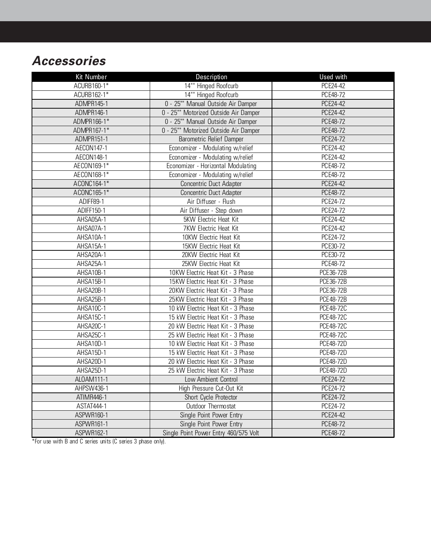# **Accessories**

| <b>Kit Number</b> | Description                           | Used with        |
|-------------------|---------------------------------------|------------------|
| ACURB160-1*       | 14"" Hinged Roofcurb                  | PCE24-42         |
| ACURB162-1*       | 14"" Hinged Roofcurb                  | PCE48-72         |
| ADMPR145-1        | 0 - 25"" Manual Outside Air Damper    | PCE24-42         |
| ADMPR146-1        | 0 - 25"" Motorized Outside Air Damper | <b>PCE24-42</b>  |
| ADMPR166-1*       | 0 - 25"" Manual Outside Air Damper    | PCE48-72         |
| ADMPR167-1*       | 0 - 25"" Motorized Outside Air Damper | PCE48-72         |
| ADMPR151-1        | <b>Barometric Relief Damper</b>       | PCE24-72         |
| AECON147-1        | Economizer - Modulating w/relief      | PCE24-42         |
| AECON148-1        | Economizer - Modulating w/relief      | PCE24-42         |
| AECON169-1*       | Economizer - Horizontal Modulating    | PCE48-72         |
| AECON168-1*       | Economizer - Modulating w/relief      | <b>PCE48-72</b>  |
| ACONC164-1*       | Concentric Duct Adapter               | PCE24-42         |
| ACONC165-1*       | Concentric Duct Adapter               | PCE48-72         |
| ADIFF89-1         | Air Diffuser - Flush                  | PCE24-72         |
| ADIFF150-1        | Air Diffuser - Step down              | PCE24-72         |
| AHSA05A-1         | 5KW Electric Heat Kit                 | PCE24-42         |
| AHSA07A-1         | 7KW Electric Heat Kit                 | PCE24-42         |
| AHSA10A-1         | 10KW Electric Heat Kit                | PCE24-72         |
| AHSA15A-1         | 15KW Electric Heat Kit                | PCE30-72         |
| AHSA20A-1         | 20KW Electric Heat Kit                | PCE30-72         |
| AHSA25A-1         | 25KW Electric Heat Kit                | PCE48-72         |
| AHSA10B-1         | 10KW Electric Heat Kit - 3 Phase      | PCE36-72B        |
| AHSA15B-1         | 15KW Electric Heat Kit - 3 Phase      | PCE36-72B        |
| AHSA20B-1         | 20KW Electric Heat Kit - 3 Phase      | PCE36-72B        |
| AHSA25B-1         | 25KW Electric Heat Kit - 3 Phase      | <b>PCE48-72B</b> |
| AHSA10C-1         | 10 kW Electric Heat Kit - 3 Phase     | PCE48-72C        |
| AHSA15C-1         | 15 kW Electric Heat Kit - 3 Phase     | PCE48-72C        |
| AHSA20C-1         | 20 kW Electric Heat Kit - 3 Phase     | PCE48-72C        |
| AHSA25C-1         | 25 kW Electric Heat Kit - 3 Phase     | PCE48-72C        |
| AHSA10D-1         | 10 kW Electric Heat Kit - 3 Phase     | PCE48-72D        |
| AHSA15D-1         | 15 kW Electric Heat Kit - 3 Phase     | PCE48-72D        |
| AHSA20D-1         | 20 kW Electric Heat Kit - 3 Phase     | <b>PCE48-72D</b> |
| AHSA25D-1         | 25 kW Electric Heat Kit - 3 Phase     | PCE48-72D        |
| ALOAM111-1        | Low Ambient Control                   | PCE24-72         |
| AHPSW436-1        | High Pressure Cut-Out Kit             | PCE24-72         |
| ATIMR446-1        | Short Cycle Protector                 | PCE24-72         |
| ASTAT444-1        | Outdoor Thermostat                    | PCE24-72         |
| ASPWR160-1        | Single Point Power Entry              | <b>PCE24-42</b>  |
| ASPWR161-1        | Single Point Power Entry              | PCE48-72         |
| <b>ASPWR162-1</b> | Single Point Power Entry 460/575 Volt | PCE48-72         |

\*For use with B and C series units (C series 3 phase only).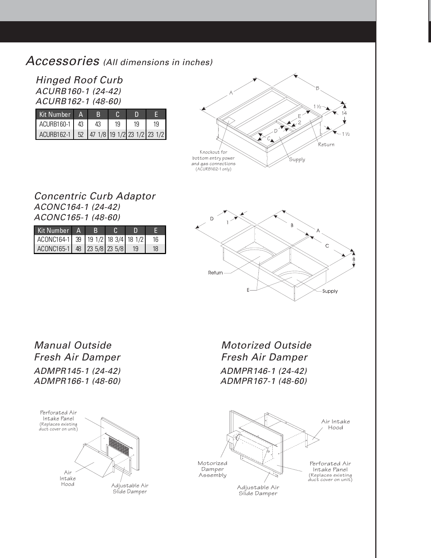#### Accessories (All dimensions in inches)

Hinged Roof Curb ACURB160-1 (24-42) ACURB162-1 (48-60)

| Kit Number A                              | R  |          |  |    |  |
|-------------------------------------------|----|----------|--|----|--|
| ACURB160-1 43                             | 43 | 19<br>19 |  | 19 |  |
| ACURB162-1 52 47 1/8 19 1/2 23 1/2 23 1/2 |    |          |  |    |  |



#### Concentric Curb Adaptor ACONC164-1 (24-42) ACONC165-1 (48-60)

| Kit Number A                        |  |    |    |
|-------------------------------------|--|----|----|
| ACONC164-1 39 19 1/2 18 3/4 18 1/2  |  |    | 16 |
| $\vert$ ACONC165-1 48 23 5/8 23 5/8 |  | 19 | 18 |



Manual Outside Fresh Air Damper ADMPR145-1 (24-42) ADMPR166-1 (48-60) Motorized Outside Fresh Air Damper ADMPR146-1 (24-42) ADMPR167-1 (48-60)

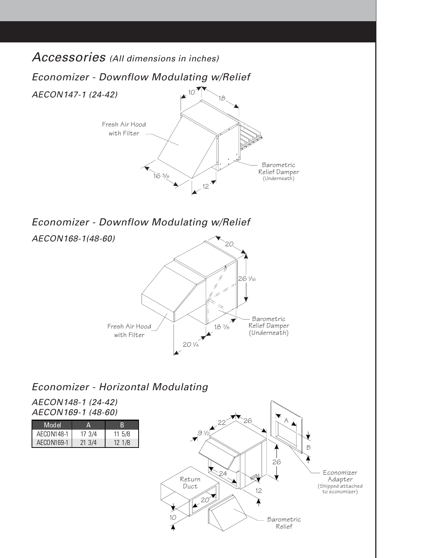